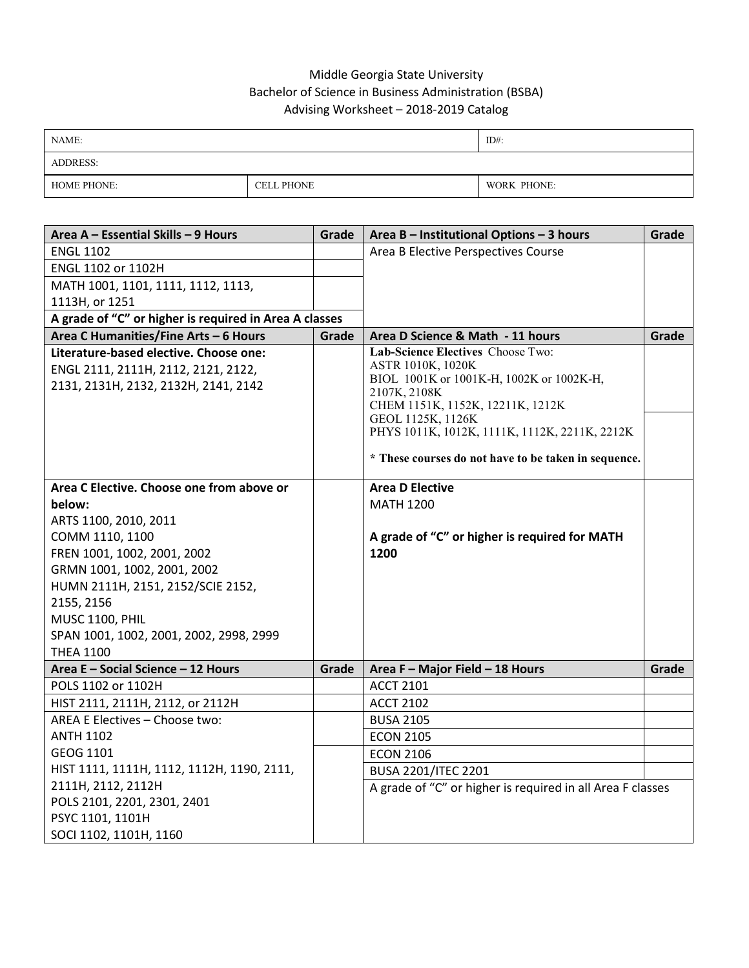## Middle Georgia State University Bachelor of Science in Business Administration (BSBA) Advising Worksheet – 2018-2019 Catalog

| NAME:              |                   | $ID#$ :     |
|--------------------|-------------------|-------------|
| <b>ADDRESS:</b>    |                   |             |
| <b>HOME PHONE:</b> | <b>CELL PHONE</b> | WORK PHONE: |

| Area A - Essential Skills - 9 Hours                    | Grade | Area B - Institutional Options - 3 hours                   | Grade |
|--------------------------------------------------------|-------|------------------------------------------------------------|-------|
| <b>ENGL 1102</b>                                       |       | Area B Elective Perspectives Course                        |       |
| ENGL 1102 or 1102H                                     |       |                                                            |       |
| MATH 1001, 1101, 1111, 1112, 1113,                     |       |                                                            |       |
| 1113H, or 1251                                         |       |                                                            |       |
| A grade of "C" or higher is required in Area A classes |       |                                                            |       |
| Area C Humanities/Fine Arts - 6 Hours                  | Grade | Area D Science & Math - 11 hours                           | Grade |
| Literature-based elective. Choose one:                 |       | Lab-Science Electives Choose Two:                          |       |
| ENGL 2111, 2111H, 2112, 2121, 2122,                    |       | ASTR 1010K, 1020K                                          |       |
| 2131, 2131H, 2132, 2132H, 2141, 2142                   |       | BIOL 1001K or 1001K-H, 1002K or 1002K-H,<br>2107K, 2108K   |       |
|                                                        |       | CHEM 1151K, 1152K, 12211K, 1212K                           |       |
|                                                        |       | GEOL 1125K, 1126K                                          |       |
|                                                        |       | PHYS 1011K, 1012K, 1111K, 1112K, 2211K, 2212K              |       |
|                                                        |       | * These courses do not have to be taken in sequence.       |       |
|                                                        |       |                                                            |       |
| Area C Elective. Choose one from above or              |       | <b>Area D Elective</b>                                     |       |
| below:                                                 |       | <b>MATH 1200</b>                                           |       |
| ARTS 1100, 2010, 2011                                  |       |                                                            |       |
| COMM 1110, 1100                                        |       | A grade of "C" or higher is required for MATH              |       |
| FREN 1001, 1002, 2001, 2002                            |       | 1200                                                       |       |
| GRMN 1001, 1002, 2001, 2002                            |       |                                                            |       |
| HUMN 2111H, 2151, 2152/SCIE 2152,                      |       |                                                            |       |
| 2155, 2156                                             |       |                                                            |       |
| <b>MUSC 1100, PHIL</b>                                 |       |                                                            |       |
| SPAN 1001, 1002, 2001, 2002, 2998, 2999                |       |                                                            |       |
| <b>THEA 1100</b>                                       |       |                                                            |       |
| Area E - Social Science - 12 Hours                     | Grade | Area F - Major Field - 18 Hours                            | Grade |
| POLS 1102 or 1102H                                     |       | <b>ACCT 2101</b>                                           |       |
| HIST 2111, 2111H, 2112, or 2112H                       |       | <b>ACCT 2102</b>                                           |       |
| AREA E Electives - Choose two:                         |       | <b>BUSA 2105</b>                                           |       |
| <b>ANTH 1102</b>                                       |       | <b>ECON 2105</b>                                           |       |
| GEOG 1101                                              |       | <b>ECON 2106</b>                                           |       |
| HIST 1111, 1111H, 1112, 1112H, 1190, 2111,             |       | <b>BUSA 2201/ITEC 2201</b>                                 |       |
| 2111H, 2112, 2112H                                     |       | A grade of "C" or higher is required in all Area F classes |       |
| POLS 2101, 2201, 2301, 2401                            |       |                                                            |       |
| PSYC 1101, 1101H                                       |       |                                                            |       |
| SOCI 1102, 1101H, 1160                                 |       |                                                            |       |